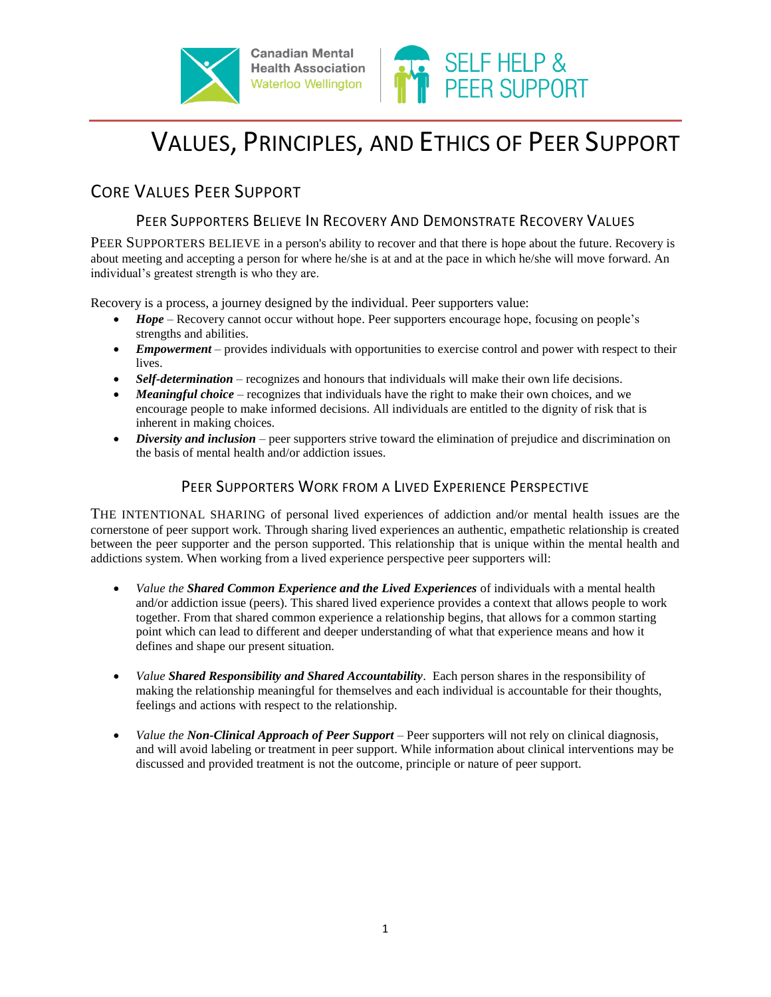





# VALUES, PRINCIPLES, AND ETHICS OF PEER SUPPORT

# CORE VALUES PEER SUPPORT

## PEER SUPPORTERS BELIEVE IN RECOVERY AND DEMONSTRATE RECOVERY VALUES

PEER SUPPORTERS BELIEVE in a person's ability to recover and that there is hope about the future. Recovery is about meeting and accepting a person for where he/she is at and at the pace in which he/she will move forward. An individual's greatest strength is who they are.

Recovery is a process, a journey designed by the individual. Peer supporters value:

- *Hope* Recovery cannot occur without hope. Peer supporters encourage hope, focusing on people's strengths and abilities.
- *Empowerment* provides individuals with opportunities to exercise control and power with respect to their lives.
- Self-determination recognizes and honours that individuals will make their own life decisions.
- *Meaningful choice*  recognizes that individuals have the right to make their own choices, and we encourage people to make informed decisions. All individuals are entitled to the dignity of risk that is inherent in making choices.
- *Diversity and inclusion* peer supporters strive toward the elimination of prejudice and discrimination on the basis of mental health and/or addiction issues.

### PEER SUPPORTERS WORK FROM A LIVED EXPERIENCE PERSPECTIVE

THE INTENTIONAL SHARING of personal lived experiences of addiction and/or mental health issues are the cornerstone of peer support work. Through sharing lived experiences an authentic, empathetic relationship is created between the peer supporter and the person supported. This relationship that is unique within the mental health and addictions system. When working from a lived experience perspective peer supporters will:

- *Value the Shared Common Experience and the Lived Experiences* of individuals with a mental health and/or addiction issue (peers). This shared lived experience provides a context that allows people to work together. From that shared common experience a relationship begins, that allows for a common starting point which can lead to different and deeper understanding of what that experience means and how it defines and shape our present situation.
- *Value Shared Responsibility and Shared Accountability*. Each person shares in the responsibility of making the relationship meaningful for themselves and each individual is accountable for their thoughts, feelings and actions with respect to the relationship.
- *Value the Non-Clinical Approach of Peer Support* Peer supporters will not rely on clinical diagnosis, and will avoid labeling or treatment in peer support. While information about clinical interventions may be discussed and provided treatment is not the outcome, principle or nature of peer support.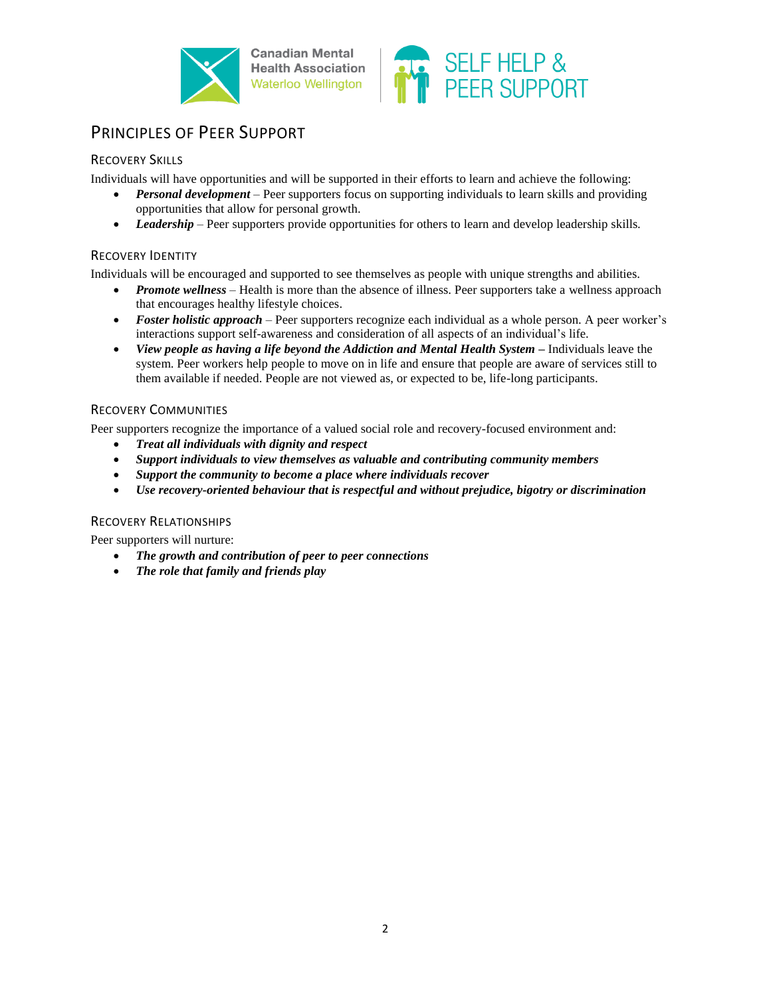

**Canadian Mental Health Association Waterloo Wellington** 



# PRINCIPLES OF PEER SUPPORT

#### RECOVERY SKILLS

Individuals will have opportunities and will be supported in their efforts to learn and achieve the following:

- *Personal development*  Peer supporters focus on supporting individuals to learn skills and providing opportunities that allow for personal growth.
- Leadership Peer supporters provide opportunities for others to learn and develop leadership skills.

#### RECOVERY IDENTITY

Individuals will be encouraged and supported to see themselves as people with unique strengths and abilities.

- *Promote wellness*  Health is more than the absence of illness. Peer supporters take a wellness approach that encourages healthy lifestyle choices.
- *Foster holistic approach*  Peer supporters recognize each individual as a whole person. A peer worker's interactions support self-awareness and consideration of all aspects of an individual's life.
- View people as having a life beyond the Addiction and Mental Health System Individuals leave the system. Peer workers help people to move on in life and ensure that people are aware of services still to them available if needed. People are not viewed as, or expected to be, life-long participants.

#### RECOVERY COMMUNITIES

Peer supporters recognize the importance of a valued social role and recovery-focused environment and:

- *Treat all individuals with dignity and respect*
- *Support individuals to view themselves as valuable and contributing community members*
- *Support the community to become a place where individuals recover*
- *Use recovery-oriented behaviour that is respectful and without prejudice, bigotry or discrimination*

#### RECOVERY RELATIONSHIPS

Peer supporters will nurture:

- *The growth and contribution of peer to peer connections*
- *The role that family and friends play*